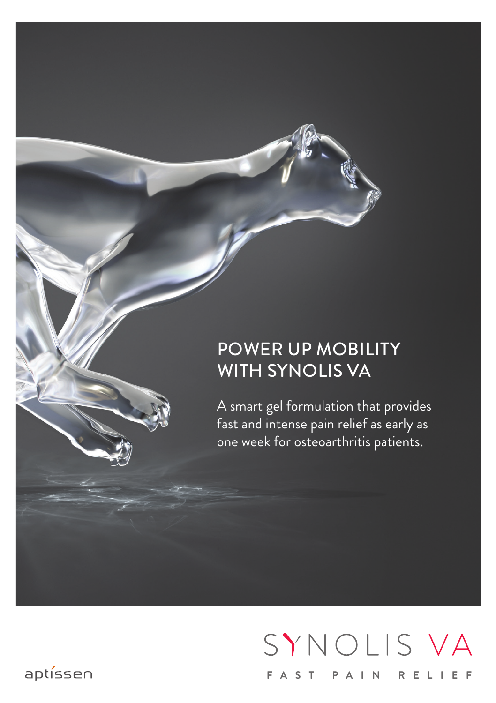#### Power up mobility with Synolis VA

A smart gel formulation that provides fast and intense pain relief as early as one week for osteoarthritis patients.

# SYNOLIS VA **Fast pain relie f**

#### aptíssen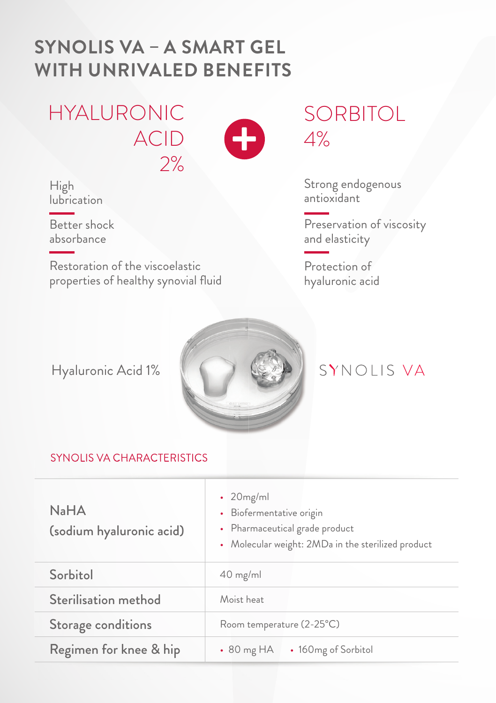### **SYNOLIS VA - A SMART GEL WITH UNRIVALED BENEFITS**

**HYALURONIC ACID**  $2%$ 



High lubrication

Better shock absorbance

Restoration of the viscoelastic properties of healthy synovial fluid

**SORBITOL**  $4%$ 

Strong endogenous<br>antioxidant

Preservation of viscosity and elasticity

Protection of hyaluronic acid

Hyaluronic Acid 1%



#### SYNOLIS VA

#### **SYNOLIS VA CHARACTERISTICS**

| $N_a$ H $A$<br>(sodium hyaluronic acid) | $\cdot$ 20 mg/ml<br>• Biofermentative origin<br>• Pharmaceutical grade product<br>• Molecular weight: 2MDa in the sterilized product |
|-----------------------------------------|--------------------------------------------------------------------------------------------------------------------------------------|
| Sorbitol                                | $40$ mg/ml                                                                                                                           |
| Sterilisation method                    | Moist heat                                                                                                                           |
| Storage conditions                      | Room temperature (2-25°C)                                                                                                            |
| Regimen for knee & hip                  | $\cdot$ 80 mg HA<br>• 160 <sub>mg</sub> of Sorbitol                                                                                  |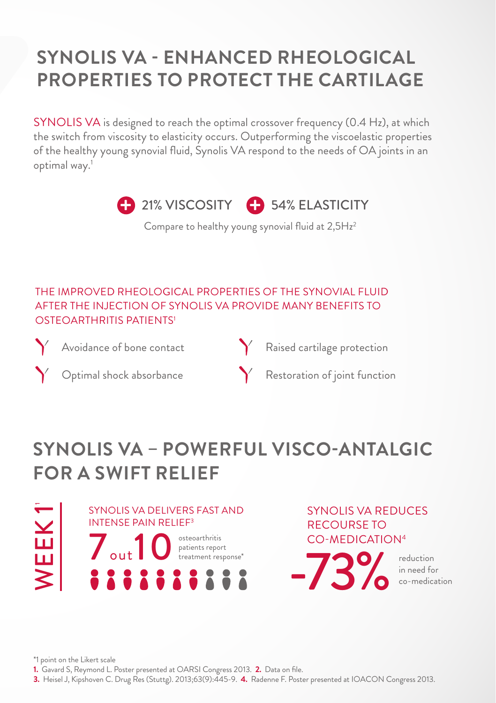### **sYnOlis Va - enHanCeD rHeOlOGiCal prOperties tO prOteCt tHe CartilaGe**

SYNOLIS VA is designed to reach the optimal crossover frequency (0.4 Hz), at which the switch from viscosity to elasticity occurs. Outperforming the viscoelastic properties of the healthy young synovial fluid, Synolis VA respond to the needs of OA joints in an optimal way.1



Compare to healthy young synovial fluid at  $2,5Hz^2$ 

#### THE IMPROVED RHEOLOGICAL PROPERTIES OF THE SYNOVIAL FLUID AFTER THE INJECTION OF SYNOLIS VA PROVIDE MANY BENEFITS TO OSTEOARTHRITIS PATIENTS1



Avoidance of bone contact



Raised cartilage protection



Optimal shock absorbance

Restoration of joint function

## **sYnOlis Va – pOWerFUl VisCO-antalGiC FOr a sWiFt relieF**



SYNOLIS VA REDUCES RECOURSE TO CO-MEDICATION4

 $-73\%$   $\frac{reduction}{\text{conendication}}$ 

reduction<br>in need for

\*1 point on the Likert scale

**1.** Gavard S, Reymond L. Poster presented at OARSI Congress 2013. **2.** Data on file.

**3.** Heisel J, Kipshoven C. Drug Res (Stuttg). 2013;63(9):445-9. **4.** Radenne F. Poster presented at IOACON Congress 2013.